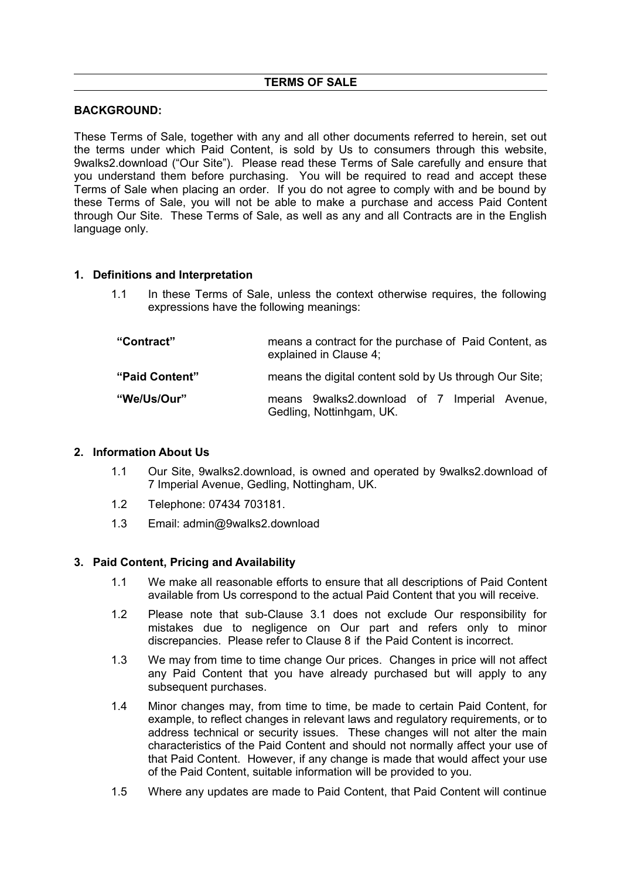## **BACKGROUND:**

These Terms of Sale, together with any and all other documents referred to herein, set out the terms under which Paid Content, is sold by Us to consumers through this website, 9walks2.download ("Our Site"). Please read these Terms of Sale carefully and ensure that you understand them before purchasing. You will be required to read and accept these Terms of Sale when placing an order. If you do not agree to comply with and be bound by these Terms of Sale, you will not be able to make a purchase and access Paid Content through Our Site. These Terms of Sale, as well as any and all Contracts are in the English language only.

## **1. Definitions and Interpretation**

1.1 In these Terms of Sale, unless the context otherwise requires, the following expressions have the following meanings:

| "Contract"     | means a contract for the purchase of Paid Content, as<br>explained in Clause 4; |
|----------------|---------------------------------------------------------------------------------|
| "Paid Content" | means the digital content sold by Us through Our Site;                          |
| "We/Us/Our"    | means 9walks2.download of 7 Imperial Avenue,<br>Gedling, Nottinhgam, UK.        |

## **2. Information About Us**

- 1.1 Our Site, 9walks2.download, is owned and operated by 9walks2.download of 7 Imperial Avenue, Gedling, Nottingham, UK.
- 1.2 Telephone: 07434 703181.
- 1.3 Email: admin@9walks2.download

## **3. Paid Content, Pricing and Availability**

- 1.1 We make all reasonable efforts to ensure that all descriptions of Paid Content available from Us correspond to the actual Paid Content that you will receive.
- 1.2 Please note that sub-Clause 3.1 does not exclude Our responsibility for mistakes due to negligence on Our part and refers only to minor discrepancies. Please refer to Clause 8 if the Paid Content is incorrect.
- 1.3 We may from time to time change Our prices. Changes in price will not affect any Paid Content that you have already purchased but will apply to any subsequent purchases.
- 1.4 Minor changes may, from time to time, be made to certain Paid Content, for example, to reflect changes in relevant laws and regulatory requirements, or to address technical or security issues. These changes will not alter the main characteristics of the Paid Content and should not normally affect your use of that Paid Content. However, if any change is made that would affect your use of the Paid Content, suitable information will be provided to you.
- 1.5 Where any updates are made to Paid Content, that Paid Content will continue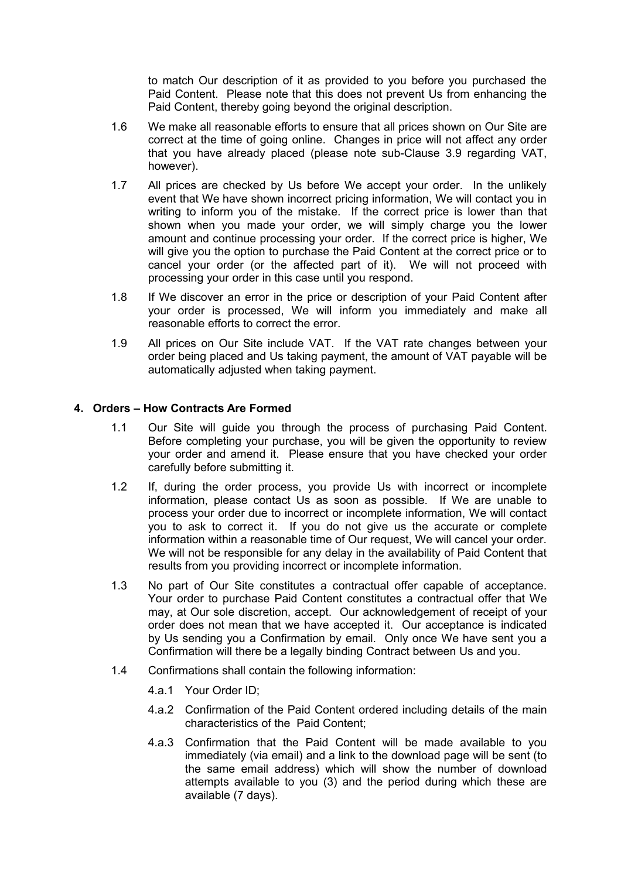to match Our description of it as provided to you before you purchased the Paid Content. Please note that this does not prevent Us from enhancing the Paid Content, thereby going beyond the original description.

- 1.6 We make all reasonable efforts to ensure that all prices shown on Our Site are correct at the time of going online. Changes in price will not affect any order that you have already placed (please note sub-Clause 3.9 regarding VAT, however).
- 1.7 All prices are checked by Us before We accept your order. In the unlikely event that We have shown incorrect pricing information, We will contact you in writing to inform you of the mistake. If the correct price is lower than that shown when you made your order, we will simply charge you the lower amount and continue processing your order. If the correct price is higher, We will give you the option to purchase the Paid Content at the correct price or to cancel your order (or the affected part of it). We will not proceed with processing your order in this case until you respond.
- 1.8 If We discover an error in the price or description of your Paid Content after your order is processed, We will inform you immediately and make all reasonable efforts to correct the error.
- 1.9 All prices on Our Site include VAT. If the VAT rate changes between your order being placed and Us taking payment, the amount of VAT payable will be automatically adjusted when taking payment.

## **4. Orders – How Contracts Are Formed**

- 1.1 Our Site will guide you through the process of purchasing Paid Content. Before completing your purchase, you will be given the opportunity to review your order and amend it. Please ensure that you have checked your order carefully before submitting it.
- 1.2 If, during the order process, you provide Us with incorrect or incomplete information, please contact Us as soon as possible. If We are unable to process your order due to incorrect or incomplete information, We will contact you to ask to correct it. If you do not give us the accurate or complete information within a reasonable time of Our request, We will cancel your order. We will not be responsible for any delay in the availability of Paid Content that results from you providing incorrect or incomplete information.
- 1.3 No part of Our Site constitutes a contractual offer capable of acceptance. Your order to purchase Paid Content constitutes a contractual offer that We may, at Our sole discretion, accept. Our acknowledgement of receipt of your order does not mean that we have accepted it. Our acceptance is indicated by Us sending you a Confirmation by email. Only once We have sent you a Confirmation will there be a legally binding Contract between Us and you.
- 1.4 Confirmations shall contain the following information:
	- 4.a.1 Your Order ID;
	- 4.a.2 Confirmation of the Paid Content ordered including details of the main characteristics of the Paid Content;
	- 4.a.3 Confirmation that the Paid Content will be made available to you immediately (via email) and a link to the download page will be sent (to the same email address) which will show the number of download attempts available to you (3) and the period during which these are available (7 days).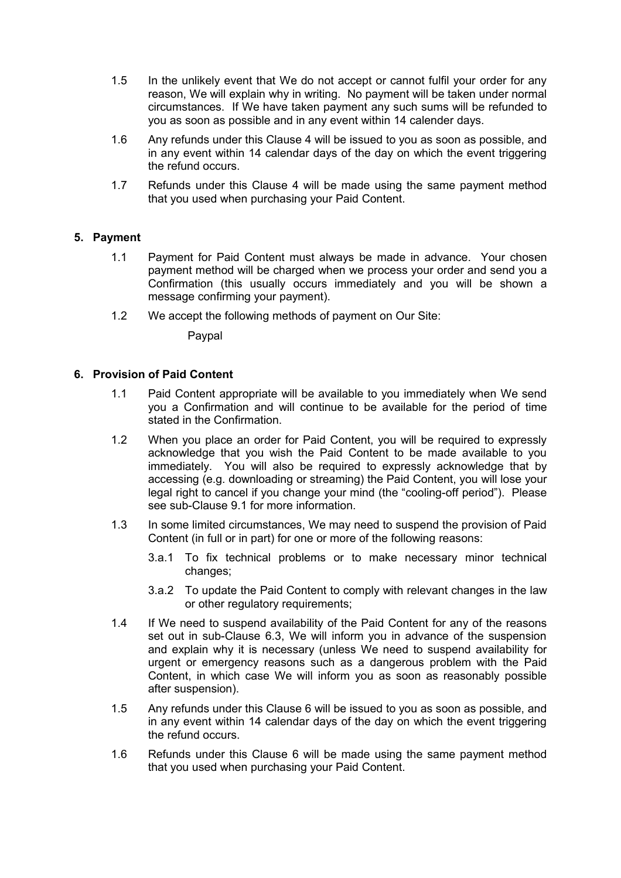- 1.5 In the unlikely event that We do not accept or cannot fulfil your order for any reason, We will explain why in writing. No payment will be taken under normal circumstances. If We have taken payment any such sums will be refunded to you as soon as possible and in any event within 14 calender days.
- 1.6 Any refunds under this Clause 4 will be issued to you as soon as possible, and in any event within 14 calendar days of the day on which the event triggering the refund occurs.
- 1.7 Refunds under this Clause 4 will be made using the same payment method that you used when purchasing your Paid Content.

## **5. Payment**

- 1.1 Payment for Paid Content must always be made in advance. Your chosen payment method will be charged when we process your order and send you a Confirmation (this usually occurs immediately and you will be shown a message confirming your payment).
- 1.2 We accept the following methods of payment on Our Site:

Paypal

#### **6. Provision of Paid Content**

- 1.1 Paid Content appropriate will be available to you immediately when We send you a Confirmation and will continue to be available for the period of time stated in the Confirmation.
- 1.2 When you place an order for Paid Content, you will be required to expressly acknowledge that you wish the Paid Content to be made available to you immediately. You will also be required to expressly acknowledge that by accessing (e.g. downloading or streaming) the Paid Content, you will lose your legal right to cancel if you change your mind (the "cooling-off period"). Please see sub-Clause 9.1 for more information.
- 1.3 In some limited circumstances, We may need to suspend the provision of Paid Content (in full or in part) for one or more of the following reasons:
	- 3.a.1 To fix technical problems or to make necessary minor technical changes;
	- 3.a.2 To update the Paid Content to comply with relevant changes in the law or other regulatory requirements;
- 1.4 If We need to suspend availability of the Paid Content for any of the reasons set out in sub-Clause 6.3, We will inform you in advance of the suspension and explain why it is necessary (unless We need to suspend availability for urgent or emergency reasons such as a dangerous problem with the Paid Content, in which case We will inform you as soon as reasonably possible after suspension).
- 1.5 Any refunds under this Clause 6 will be issued to you as soon as possible, and in any event within 14 calendar days of the day on which the event triggering the refund occurs.
- 1.6 Refunds under this Clause 6 will be made using the same payment method that you used when purchasing your Paid Content.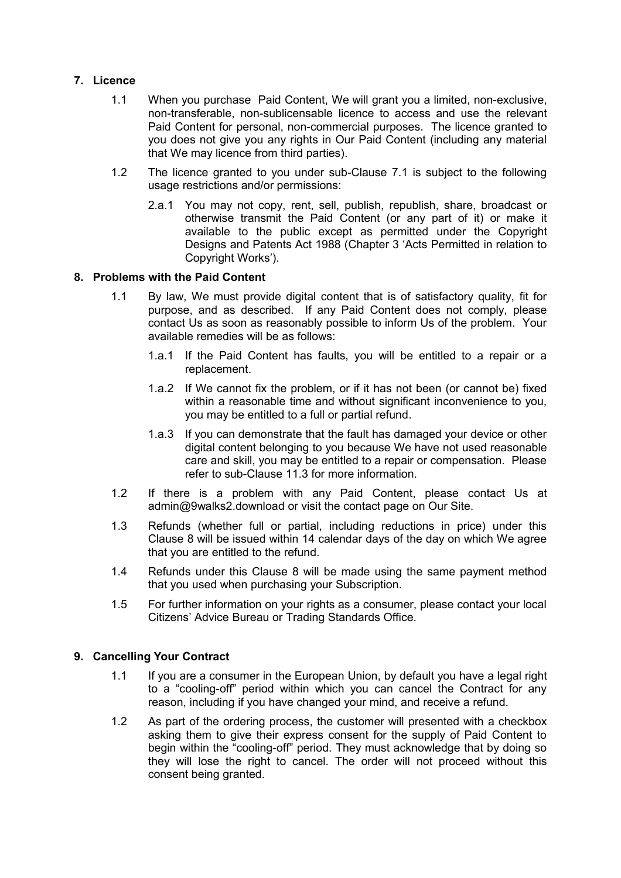# **7. Licence**

- 1.1 When you purchase Paid Content, We will grant you a limited, non-exclusive, non-transferable, non-sublicensable licence to access and use the relevant Paid Content for personal, non-commercial purposes. The licence granted to you does not give you any rights in Our Paid Content (including any material that We may licence from third parties).
- 1.2 The licence granted to you under sub-Clause 7.1 is subject to the following usage restrictions and/or permissions:
	- 2.a.1 You may not copy, rent, sell, publish, republish, share, broadcast or otherwise transmit the Paid Content (or any part of it) or make it available to the public except as permitted under the Copyright Designs and Patents Act 1988 (Chapter 3 'Acts Permitted in relation to Copyright Works').

## **8. Problems with the Paid Content**

- 1.1 By law, We must provide digital content that is of satisfactory quality, fit for purpose, and as described. If any Paid Content does not comply, please contact Us as soon as reasonably possible to inform Us of the problem. Your available remedies will be as follows:
	- 1.a.1 If the Paid Content has faults, you will be entitled to a repair or a replacement.
	- 1.a.2 If We cannot fix the problem, or if it has not been (or cannot be) fixed within a reasonable time and without significant inconvenience to you, you may be entitled to a full or partial refund.
	- 1.a.3 If you can demonstrate that the fault has damaged your device or other digital content belonging to you because We have not used reasonable care and skill, you may be entitled to a repair or compensation. Please refer to sub-Clause 11.3 for more information.
- 1.2 If there is a problem with any Paid Content, please contact Us at admin@9walks2.download or visit the contact page on Our Site.
- 1.3 Refunds (whether full or partial, including reductions in price) under this Clause 8 will be issued within 14 calendar days of the day on which We agree that you are entitled to the refund.
- 1.4 Refunds under this Clause 8 will be made using the same payment method that you used when purchasing your Subscription.
- 1.5 For further information on your rights as a consumer, please contact your local Citizens' Advice Bureau or Trading Standards Office.

## **9. Cancelling Your Contract**

- 1.1 If you are a consumer in the European Union, by default you have a legal right to a "cooling-off" period within which you can cancel the Contract for any reason, including if you have changed your mind, and receive a refund.
- 1.2 As part of the ordering process, the customer will presented with a checkbox asking them to give their express consent for the supply of Paid Content to begin within the "cooling-off" period. They must acknowledge that by doing so they will lose the right to cancel. The order will not proceed without this consent being granted.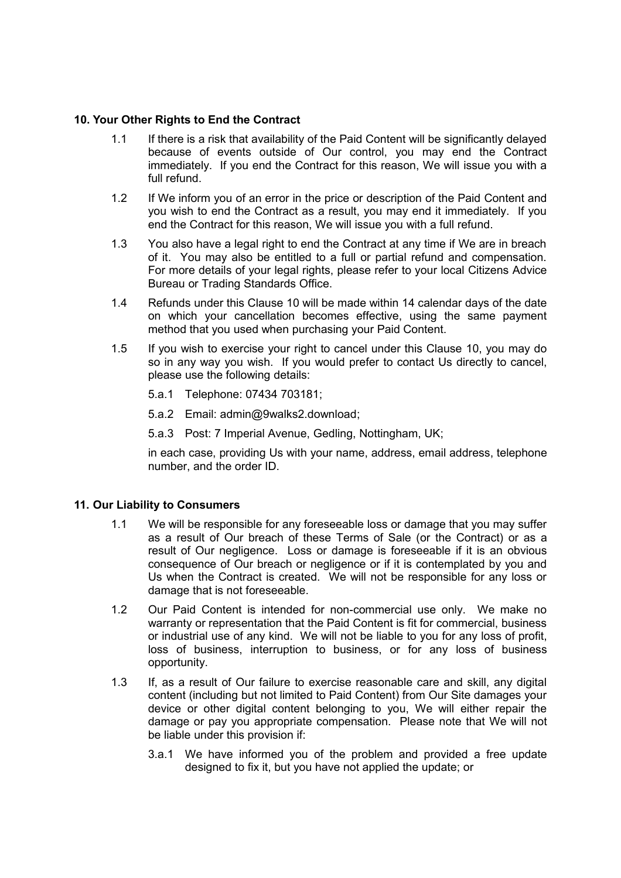#### **10. Your Other Rights to End the Contract**

- 1.1 If there is a risk that availability of the Paid Content will be significantly delayed because of events outside of Our control, you may end the Contract immediately. If you end the Contract for this reason, We will issue you with a full refund.
- 1.2 If We inform you of an error in the price or description of the Paid Content and you wish to end the Contract as a result, you may end it immediately. If you end the Contract for this reason, We will issue you with a full refund.
- 1.3 You also have a legal right to end the Contract at any time if We are in breach of it. You may also be entitled to a full or partial refund and compensation. For more details of your legal rights, please refer to your local Citizens Advice Bureau or Trading Standards Office.
- 1.4 Refunds under this Clause 10 will be made within 14 calendar days of the date on which your cancellation becomes effective, using the same payment method that you used when purchasing your Paid Content.
- 1.5 If you wish to exercise your right to cancel under this Clause 10, you may do so in any way you wish. If you would prefer to contact Us directly to cancel, please use the following details:
	- 5.a.1 Telephone: 07434 703181;
	- 5.a.2 Email: admin@9walks2.download;
	- 5.a.3 Post: 7 Imperial Avenue, Gedling, Nottingham, UK;

in each case, providing Us with your name, address, email address, telephone number, and the order ID.

#### **11. Our Liability to Consumers**

- 1.1 We will be responsible for any foreseeable loss or damage that you may suffer as a result of Our breach of these Terms of Sale (or the Contract) or as a result of Our negligence. Loss or damage is foreseeable if it is an obvious consequence of Our breach or negligence or if it is contemplated by you and Us when the Contract is created. We will not be responsible for any loss or damage that is not foreseeable.
- 1.2 Our Paid Content is intended for non-commercial use only. We make no warranty or representation that the Paid Content is fit for commercial, business or industrial use of any kind. We will not be liable to you for any loss of profit, loss of business, interruption to business, or for any loss of business opportunity.
- 1.3 If, as a result of Our failure to exercise reasonable care and skill, any digital content (including but not limited to Paid Content) from Our Site damages your device or other digital content belonging to you, We will either repair the damage or pay you appropriate compensation. Please note that We will not be liable under this provision if:
	- 3.a.1 We have informed you of the problem and provided a free update designed to fix it, but you have not applied the update; or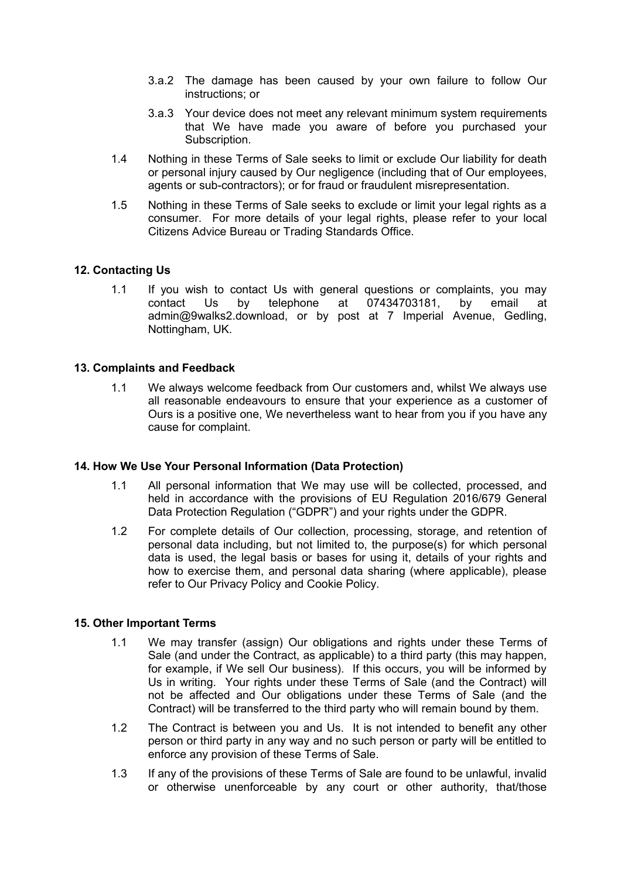- 3.a.2 The damage has been caused by your own failure to follow Our instructions; or
- 3.a.3 Your device does not meet any relevant minimum system requirements that We have made you aware of before you purchased your Subscription.
- 1.4 Nothing in these Terms of Sale seeks to limit or exclude Our liability for death or personal injury caused by Our negligence (including that of Our employees, agents or sub-contractors); or for fraud or fraudulent misrepresentation.
- 1.5 Nothing in these Terms of Sale seeks to exclude or limit your legal rights as a consumer. For more details of your legal rights, please refer to your local Citizens Advice Bureau or Trading Standards Office.

# **12. Contacting Us**

1.1 If you wish to contact Us with general questions or complaints, you may contact Us by telephone at 07434703181, by email at admin@9walks2.download, or by post at 7 Imperial Avenue, Gedling, Nottingham, UK.

# **13. Complaints and Feedback**

1.1 We always welcome feedback from Our customers and, whilst We always use all reasonable endeavours to ensure that your experience as a customer of Ours is a positive one, We nevertheless want to hear from you if you have any cause for complaint.

## **14. How We Use Your Personal Information (Data Protection)**

- 1.1 All personal information that We may use will be collected, processed, and held in accordance with the provisions of EU Regulation 2016/679 General Data Protection Regulation ("GDPR") and your rights under the GDPR.
- 1.2 For complete details of Our collection, processing, storage, and retention of personal data including, but not limited to, the purpose(s) for which personal data is used, the legal basis or bases for using it, details of your rights and how to exercise them, and personal data sharing (where applicable), please refer to Our Privacy Policy and Cookie Policy.

## **15. Other Important Terms**

- 1.1 We may transfer (assign) Our obligations and rights under these Terms of Sale (and under the Contract, as applicable) to a third party (this may happen, for example, if We sell Our business). If this occurs, you will be informed by Us in writing. Your rights under these Terms of Sale (and the Contract) will not be affected and Our obligations under these Terms of Sale (and the Contract) will be transferred to the third party who will remain bound by them.
- 1.2 The Contract is between you and Us. It is not intended to benefit any other person or third party in any way and no such person or party will be entitled to enforce any provision of these Terms of Sale.
- 1.3 If any of the provisions of these Terms of Sale are found to be unlawful, invalid or otherwise unenforceable by any court or other authority, that/those